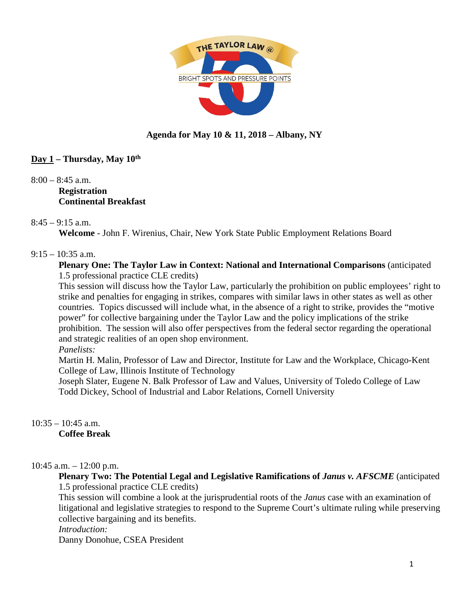

# **Agenda for May 10 & 11, 2018 – Albany, NY**

## **Day 1 – Thursday, May 10th**

 $8:00 - 8:45$  a.m. **Registration Continental Breakfast**

## $8:45 - 9:15$  a.m.

**Welcome** - John F. Wirenius, Chair, New York State Public Employment Relations Board

#### $9:15 - 10:35$  a.m.

#### **Plenary One: The Taylor Law in Context: National and International Comparisons** (anticipated 1.5 professional practice CLE credits)

This session will discuss how the Taylor Law, particularly the prohibition on public employees' right to strike and penalties for engaging in strikes, compares with similar laws in other states as well as other countries. Topics discussed will include what, in the absence of a right to strike, provides the "motive power" for collective bargaining under the Taylor Law and the policy implications of the strike prohibition. The session will also offer perspectives from the federal sector regarding the operational and strategic realities of an open shop environment.

*Panelists:*

Martin H. Malin, Professor of Law and Director, Institute for Law and the Workplace, Chicago-Kent College of Law, Illinois Institute of Technology

Joseph Slater, Eugene N. Balk Professor of Law and Values, University of Toledo College of Law Todd Dickey, School of Industrial and Labor Relations, Cornell University

 $10:35 - 10:45$  a.m. **Coffee Break**

#### $10:45$  a.m.  $-12:00$  p.m.

**Plenary Two: The Potential Legal and Legislative Ramifications of** *Janus v. AFSCME* (anticipated 1.5 professional practice CLE credits)

This session will combine a look at the jurisprudential roots of the *Janus* case with an examination of litigational and legislative strategies to respond to the Supreme Court's ultimate ruling while preserving collective bargaining and its benefits.

*Introduction:*

Danny Donohue, CSEA President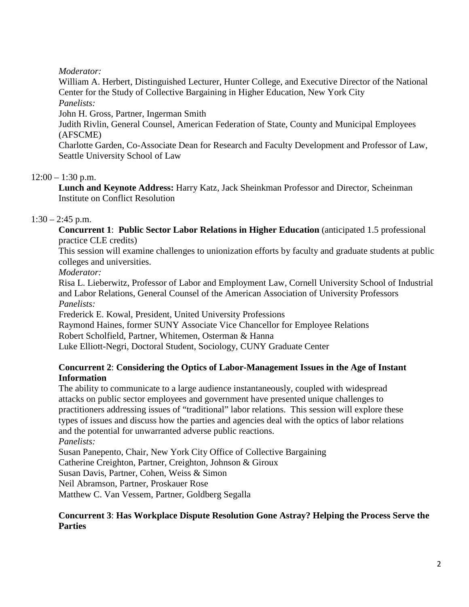*Moderator:*

William A. Herbert, Distinguished Lecturer, Hunter College, and Executive Director of the National Center for the Study of Collective Bargaining in Higher Education, New York City

*Panelists:*

John H. Gross, Partner, Ingerman Smith

Judith Rivlin, General Counsel, American Federation of State, County and Municipal Employees (AFSCME)

Charlotte Garden, Co-Associate Dean for Research and Faculty Development and Professor of Law, Seattle University School of Law

# $12:00 - 1:30$  p.m.

**Lunch and Keynote Address:** Harry Katz, Jack Sheinkman Professor and Director, Scheinman Institute on Conflict Resolution

# $1:30 - 2:45$  p.m.

**Concurrent 1**: **Public Sector Labor Relations in Higher Education** (anticipated 1.5 professional practice CLE credits)

This session will examine challenges to unionization efforts by faculty and graduate students at public colleges and universities.

*Moderator:* 

Risa L. Lieberwitz, Professor of Labor and Employment Law, Cornell University School of Industrial and Labor Relations, General Counsel of the American Association of University Professors *Panelists:*

Frederick E. Kowal, President, United University Professions

Raymond Haines, former SUNY Associate Vice Chancellor for Employee Relations

Robert Scholfield, Partner, Whitemen, Osterman & Hanna

Luke Elliott-Negri, Doctoral Student, Sociology, CUNY Graduate Center

## **Concurrent 2**: **Considering the Optics of Labor-Management Issues in the Age of Instant Information**

The ability to communicate to a large audience instantaneously, coupled with widespread attacks on public sector employees and government have presented unique challenges to practitioners addressing issues of "traditional" labor relations. This session will explore these types of issues and discuss how the parties and agencies deal with the optics of labor relations and the potential for unwarranted adverse public reactions. *Panelists:*

Susan Panepento, Chair, New York City Office of Collective Bargaining Catherine Creighton, Partner, Creighton, Johnson & Giroux Susan Davis, Partner, Cohen, Weiss & Simon Neil Abramson, Partner, Proskauer Rose Matthew C. Van Vessem, Partner, Goldberg Segalla

## **Concurrent 3**: **Has Workplace Dispute Resolution Gone Astray? Helping the Process Serve the Parties**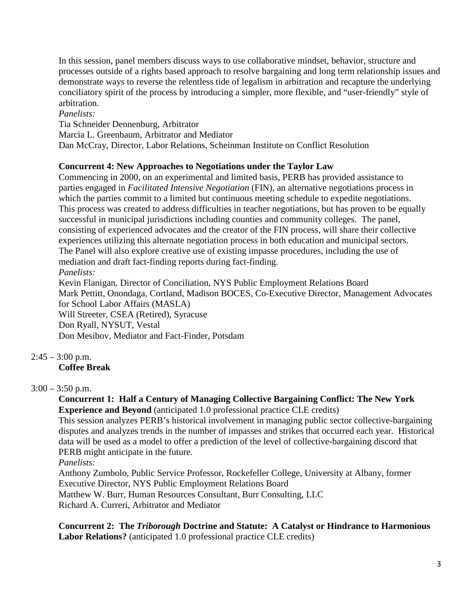In this session, panel members discuss ways to use collaborative mindset, behavior, structure and processes outside of a rights based approach to resolve bargaining and long term relationship issues and demonstrate ways to reverse the relentless tide of legalism in arbitration and recapture the underlying conciliatory spirit of the process by introducing a simpler, more flexible, and "user-friendly" style of arbitration.

## *Panelists:*

Tia Schneider Dennenburg, Arbitrator

Marcia L. Greenbaum, Arbitrator and Mediator

Dan McCray, Director, Labor Relations, Scheinman Institute on Conflict Resolution

## **Concurrent 4: New Approaches to Negotiations under the Taylor Law**

Commencing in 2000, on an experimental and limited basis, PERB has provided assistance to parties engaged in *Facilitated Intensive Negotiation* (FIN), an alternative negotiations process in which the parties commit to a limited but continuous meeting schedule to expedite negotiations. This process was created to address difficulties in teacher negotiations, but has proven to be equally successful in municipal jurisdictions including counties and community colleges. The panel, consisting of experienced advocates and the creator of the FIN process, will share their collective experiences utilizing this alternate negotiation process in both education and municipal sectors. The Panel will also explore creative use of existing impasse procedures, including the use of mediation and draft fact-finding reports during fact-finding. *Panelists:*

Kevin Flanigan, Director of Conciliation, NYS Public Employment Relations Board Mark Pettitt, Onondaga, Cortland, Madison BOCES, Co-Executive Director, Management Advocates for School Labor Affairs (MASLA) Will Streeter, CSEA (Retired), Syracuse Don Ryall, NYSUT, Vestal Don Mesibov, Mediator and Fact-Finder, Potsdam

# $2:45 - 3:00$  p.m.

# **Coffee Break**

## $3:00 - 3:50$  p.m.

**Concurrent 1: Half a Century of Managing Collective Bargaining Conflict: The New York Experience and Beyond** (anticipated 1.0 professional practice CLE credits)

This session analyzes PERB's historical involvement in managing public sector collective-bargaining disputes and analyzes trends in the number of impasses and strikes that occurred each year. Historical data will be used as a model to offer a prediction of the level of collective-bargaining discord that PERB might anticipate in the future.

*Panelists:*

Anthony Zumbolo, Public Service Professor, Rockefeller College, University at Albany, former Executive Director, NYS Public Employment Relations Board

Matthew W. Burr, Human Resources Consultant, Burr Consulting, LLC

Richard A. Curreri, Arbitrator and Mediator

**Concurrent 2: The** *Triborough* **Doctrine and Statute: A Catalyst or Hindrance to Harmonious Labor Relations?** (anticipated 1.0 professional practice CLE credits)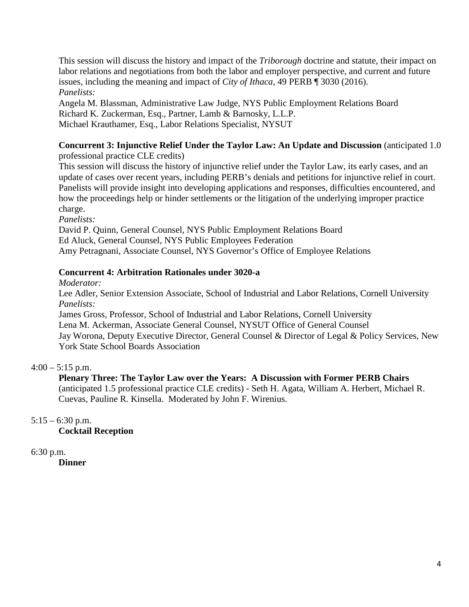This session will discuss the history and impact of the *Triborough* doctrine and statute, their impact on labor relations and negotiations from both the labor and employer perspective, and current and future issues, including the meaning and impact of *City of Ithaca*, 49 PERB ¶ 3030 (2016). *Panelists:*

Angela M. Blassman, Administrative Law Judge, NYS Public Employment Relations Board Richard K. Zuckerman, Esq., Partner, Lamb & Barnosky, L.L.P. Michael Krauthamer, Esq., Labor Relations Specialist, NYSUT

#### **Concurrent 3: Injunctive Relief Under the Taylor Law: An Update and Discussion** (anticipated 1.0 professional practice CLE credits)

This session will discuss the history of injunctive relief under the Taylor Law, its early cases, and an update of cases over recent years, including PERB's denials and petitions for injunctive relief in court. Panelists will provide insight into developing applications and responses, difficulties encountered, and how the proceedings help or hinder settlements or the litigation of the underlying improper practice charge.

*Panelists:*

David P. Quinn, General Counsel, NYS Public Employment Relations Board Ed Aluck, General Counsel, NYS Public Employees Federation Amy Petragnani, Associate Counsel, NYS Governor's Office of Employee Relations

## **Concurrent 4: Arbitration Rationales under 3020-a**

*Moderator:* 

Lee Adler, Senior Extension Associate, School of Industrial and Labor Relations, Cornell University *Panelists:*

James Gross, Professor, School of Industrial and Labor Relations, Cornell University Lena M. Ackerman, Associate General Counsel, NYSUT Office of General Counsel Jay Worona, Deputy Executive Director, General Counsel & Director of Legal & Policy Services, New York State School Boards Association

 $4:00 - 5:15$  p.m.

# **Plenary Three: The Taylor Law over the Years: A Discussion with Former PERB Chairs**

(anticipated 1.5 professional practice CLE credits) - Seth H. Agata, William A. Herbert, Michael R. Cuevas, Pauline R. Kinsella. Moderated by John F. Wirenius.

 $5:15 - 6:30$  p.m.

**Cocktail Reception**

6:30 p.m.

**Dinner**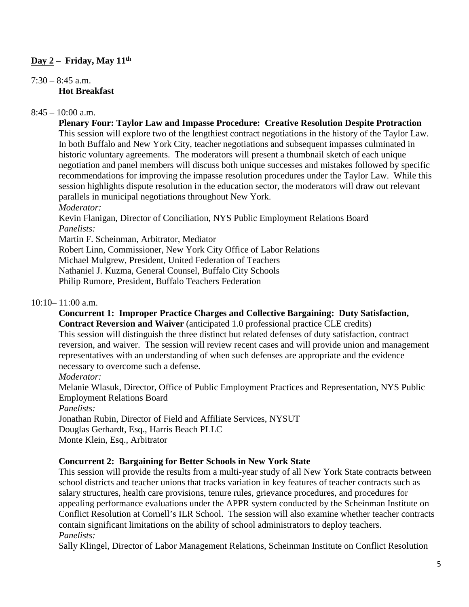## **Day 2 – Friday, May 11th**

```
7:30 - 8:45 a.m.
Hot Breakfast
```
#### $8:45 - 10:00$  a.m.

**Plenary Four: Taylor Law and Impasse Procedure: Creative Resolution Despite Protraction** This session will explore two of the lengthiest contract negotiations in the history of the Taylor Law. In both Buffalo and New York City, teacher negotiations and subsequent impasses culminated in historic voluntary agreements. The moderators will present a thumbnail sketch of each unique negotiation and panel members will discuss both unique successes and mistakes followed by specific recommendations for improving the impasse resolution procedures under the Taylor Law. While this session highlights dispute resolution in the education sector, the moderators will draw out relevant parallels in municipal negotiations throughout New York.

*Moderator:* 

Kevin Flanigan, Director of Conciliation, NYS Public Employment Relations Board *Panelists:*

Martin F. Scheinman, Arbitrator, Mediator

Robert Linn, Commissioner, New York City Office of Labor Relations

Michael Mulgrew, President, United Federation of Teachers

Nathaniel J. Kuzma, General Counsel, Buffalo City Schools

Philip Rumore, President, Buffalo Teachers Federation

#### 10:10– 11:00 a.m.

#### **Concurrent 1: Improper Practice Charges and Collective Bargaining: Duty Satisfaction, Contract Reversion and Waiver** (anticipated 1.0 professional practice CLE credits) This session will distinguish the three distinct but related defenses of duty satisfaction, contract reversion, and waiver. The session will review recent cases and will provide union and management representatives with an understanding of when such defenses are appropriate and the evidence necessary to overcome such a defense.

*Moderator:*

Melanie Wlasuk, Director, Office of Public Employment Practices and Representation, NYS Public Employment Relations Board

*Panelists:*

Jonathan Rubin, Director of Field and Affiliate Services, NYSUT

Douglas Gerhardt, Esq., Harris Beach PLLC

Monte Klein, Esq., Arbitrator

#### **Concurrent 2: Bargaining for Better Schools in New York State**

This session will provide the results from a multi-year study of all New York State contracts between school districts and teacher unions that tracks variation in key features of teacher contracts such as salary structures, health care provisions, tenure rules, grievance procedures, and procedures for appealing performance evaluations under the APPR system conducted by the Scheinman Institute on Conflict Resolution at Cornell's ILR School. The session will also examine whether teacher contracts contain significant limitations on the ability of school administrators to deploy teachers. *Panelists:*

Sally Klingel, Director of Labor Management Relations, Scheinman Institute on Conflict Resolution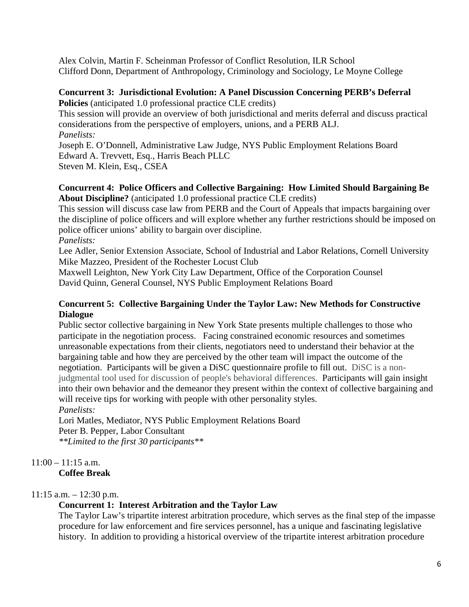Alex Colvin, Martin F. Scheinman Professor of Conflict Resolution, ILR School Clifford Donn, Department of Anthropology, Criminology and Sociology, Le Moyne College

# **Concurrent 3: Jurisdictional Evolution: A Panel Discussion Concerning PERB's Deferral**

**Policies** (anticipated 1.0 professional practice CLE credits)

This session will provide an overview of both jurisdictional and merits deferral and discuss practical considerations from the perspective of employers, unions, and a PERB ALJ. *Panelists:*

Joseph E. O'Donnell, Administrative Law Judge, NYS Public Employment Relations Board Edward A. Trevvett, Esq., Harris Beach PLLC

Steven M. Klein, Esq., CSEA

#### **Concurrent 4: Police Officers and Collective Bargaining: How Limited Should Bargaining Be About Discipline?** (anticipated 1.0 professional practice CLE credits)

This session will discuss case law from PERB and the Court of Appeals that impacts bargaining over the discipline of police officers and will explore whether any further restrictions should be imposed on police officer unions' ability to bargain over discipline.

*Panelists:*

Lee Adler, Senior Extension Associate, School of Industrial and Labor Relations, Cornell University Mike Mazzeo, President of the Rochester Locust Club

Maxwell Leighton, New York City Law Department, Office of the Corporation Counsel David Quinn, General Counsel, NYS Public Employment Relations Board

## **Concurrent 5: Collective Bargaining Under the Taylor Law: New Methods for Constructive Dialogue**

Public sector collective bargaining in New York State presents multiple challenges to those who participate in the negotiation process. Facing constrained economic resources and sometimes unreasonable expectations from their clients, negotiators need to understand their behavior at the bargaining table and how they are perceived by the other team will impact the outcome of the negotiation. Participants will be given a DiSC questionnaire profile to fill out. DiSC is a nonjudgmental tool used for discussion of people's behavioral differences. Participants will gain insight into their own behavior and the demeanor they present within the context of collective bargaining and will receive tips for working with people with other personality styles.

*Panelists:*

Lori Matles, Mediator, NYS Public Employment Relations Board Peter B. Pepper, Labor Consultant *\*\*Limited to the first 30 participants\*\** 

# $11:00 - 11:15$  a.m.

**Coffee Break**

# $11:15$  a.m.  $-12:30$  p.m.

# **Concurrent 1: Interest Arbitration and the Taylor Law**

The Taylor Law's tripartite interest arbitration procedure, which serves as the final step of the impasse procedure for law enforcement and fire services personnel, has a unique and fascinating legislative history. In addition to providing a historical overview of the tripartite interest arbitration procedure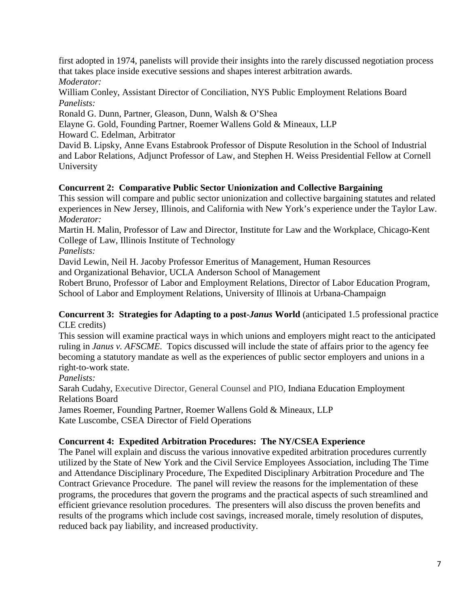first adopted in 1974, panelists will provide their insights into the rarely discussed negotiation process that takes place inside executive sessions and shapes interest arbitration awards. *Moderator:*

William Conley, Assistant Director of Conciliation, NYS Public Employment Relations Board *Panelists:*

Ronald G. Dunn, Partner, Gleason, Dunn, Walsh & O'Shea

Elayne G. Gold, Founding Partner, Roemer Wallens Gold & Mineaux, LLP

Howard C. Edelman, Arbitrator

David B. Lipsky, Anne Evans Estabrook Professor of Dispute Resolution in the School of Industrial and Labor Relations, Adjunct Professor of Law, and Stephen H. Weiss Presidential Fellow at Cornell University

# **Concurrent 2: Comparative Public Sector Unionization and Collective Bargaining**

This session will compare and public sector unionization and collective bargaining statutes and related experiences in New Jersey, Illinois, and California with New York's experience under the Taylor Law. *Moderator:* 

Martin H. Malin, Professor of Law and Director, Institute for Law and the Workplace, Chicago-Kent College of Law, Illinois Institute of Technology

*Panelists:*

David Lewin, Neil H. Jacoby Professor Emeritus of Management, Human Resources

and Organizational Behavior, UCLA Anderson School of Management

Robert Bruno, Professor of Labor and Employment Relations, Director of Labor Education Program, School of Labor and Employment Relations, University of Illinois at Urbana-Champaign

#### **Concurrent 3: Strategies for Adapting to a post-***Janus* **World** (anticipated 1.5 professional practice CLE credits)

This session will examine practical ways in which unions and employers might react to the anticipated ruling in *Janus v. AFSCME*. Topics discussed will include the state of affairs prior to the agency fee becoming a statutory mandate as well as the experiences of public sector employers and unions in a right-to-work state.

*Panelists:*

Sarah Cudahy, Executive Director, General Counsel and PIO, Indiana Education Employment Relations Board

James Roemer, Founding Partner, Roemer Wallens Gold & Mineaux, LLP Kate Luscombe, CSEA Director of Field Operations

# **Concurrent 4: Expedited Arbitration Procedures: The NY/CSEA Experience**

The Panel will explain and discuss the various innovative expedited arbitration procedures currently utilized by the State of New York and the Civil Service Employees Association, including The Time and Attendance Disciplinary Procedure, The Expedited Disciplinary Arbitration Procedure and The Contract Grievance Procedure. The panel will review the reasons for the implementation of these programs, the procedures that govern the programs and the practical aspects of such streamlined and efficient grievance resolution procedures. The presenters will also discuss the proven benefits and results of the programs which include cost savings, increased morale, timely resolution of disputes, reduced back pay liability, and increased productivity.